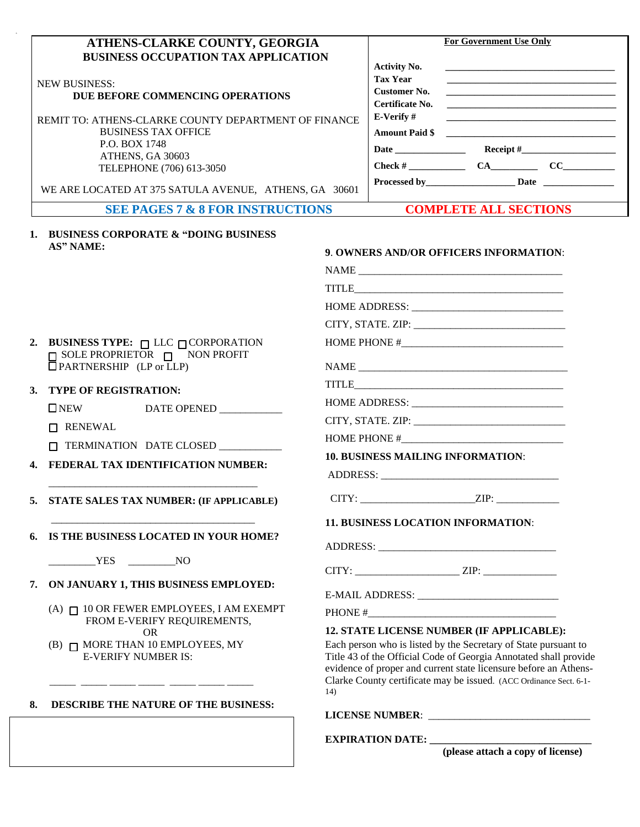| ATHENS-CLARKE COUNTY, GEORGIA                                                    |                                                                                                                                                                                                         | <b>For Government Use Only</b>         |                                                                                                  |                                                                                                                        |  |  |
|----------------------------------------------------------------------------------|---------------------------------------------------------------------------------------------------------------------------------------------------------------------------------------------------------|----------------------------------------|--------------------------------------------------------------------------------------------------|------------------------------------------------------------------------------------------------------------------------|--|--|
| <b>BUSINESS OCCUPATION TAX APPLICATION</b>                                       |                                                                                                                                                                                                         |                                        |                                                                                                  |                                                                                                                        |  |  |
|                                                                                  |                                                                                                                                                                                                         | <b>Activity No.</b><br><b>Tax Year</b> |                                                                                                  | the control of the control of the control of the control of the control of the control of                              |  |  |
| <b>NEW BUSINESS:</b>                                                             |                                                                                                                                                                                                         | <b>Customer No.</b>                    |                                                                                                  | <u> 1989 - Johann Stein, marwolaethau a bhann an t-Alban ann an t-Alban an t-Alban ann an t-Alban an t-Alban ann a</u> |  |  |
| DUE BEFORE COMMENCING OPERATIONS                                                 |                                                                                                                                                                                                         | Certificate No.                        |                                                                                                  |                                                                                                                        |  |  |
| REMIT TO: ATHENS-CLARKE COUNTY DEPARTMENT OF FINANCE                             |                                                                                                                                                                                                         | E-Verify#                              |                                                                                                  |                                                                                                                        |  |  |
| <b>BUSINESS TAX OFFICE</b>                                                       |                                                                                                                                                                                                         |                                        |                                                                                                  | Amount Paid \$                                                                                                         |  |  |
| P.O. BOX 1748                                                                    |                                                                                                                                                                                                         |                                        |                                                                                                  |                                                                                                                        |  |  |
| ATHENS, GA 30603                                                                 |                                                                                                                                                                                                         |                                        |                                                                                                  |                                                                                                                        |  |  |
| TELEPHONE (706) 613-3050                                                         |                                                                                                                                                                                                         |                                        |                                                                                                  |                                                                                                                        |  |  |
| WE ARE LOCATED AT 375 SATULA AVENUE, ATHENS, GA 30601                            |                                                                                                                                                                                                         |                                        |                                                                                                  |                                                                                                                        |  |  |
| <b>SEE PAGES 7 &amp; 8 FOR INSTRUCTIONS</b>                                      |                                                                                                                                                                                                         |                                        | <b>COMPLETE ALL SECTIONS</b>                                                                     |                                                                                                                        |  |  |
| 1. BUSINESS CORPORATE & "DOING BUSINESS"                                         |                                                                                                                                                                                                         |                                        |                                                                                                  |                                                                                                                        |  |  |
| AS" NAME:                                                                        |                                                                                                                                                                                                         |                                        | 9. OWNERS AND/OR OFFICERS INFORMATION:                                                           |                                                                                                                        |  |  |
|                                                                                  |                                                                                                                                                                                                         |                                        | $\begin{tabular}{c} \bf{NAME} \end{tabular}$<br><br>$\begin{tabular}{c} \bf{NAME} \end{tabular}$ |                                                                                                                        |  |  |
|                                                                                  |                                                                                                                                                                                                         |                                        |                                                                                                  |                                                                                                                        |  |  |
|                                                                                  |                                                                                                                                                                                                         |                                        |                                                                                                  |                                                                                                                        |  |  |
|                                                                                  |                                                                                                                                                                                                         |                                        |                                                                                                  |                                                                                                                        |  |  |
| BUSINESS TYPE: $\Box$ LLC $\Box$ CORPORATION<br>2.                               | HOME PHONE #                                                                                                                                                                                            |                                        |                                                                                                  |                                                                                                                        |  |  |
| $\Box$ SOLE PROPRIETOR $\Box$ NON PROFIT                                         |                                                                                                                                                                                                         |                                        |                                                                                                  |                                                                                                                        |  |  |
| PARTNERSHIP (LP or LLP)                                                          |                                                                                                                                                                                                         |                                        |                                                                                                  |                                                                                                                        |  |  |
| <b>TYPE OF REGISTRATION:</b>                                                     |                                                                                                                                                                                                         |                                        |                                                                                                  |                                                                                                                        |  |  |
| $\Box$ NEW<br>DATE OPENED                                                        |                                                                                                                                                                                                         |                                        |                                                                                                  |                                                                                                                        |  |  |
| □ RENEWAL                                                                        |                                                                                                                                                                                                         |                                        |                                                                                                  |                                                                                                                        |  |  |
| $\Box$ TERMINATION DATE CLOSED                                                   |                                                                                                                                                                                                         |                                        |                                                                                                  |                                                                                                                        |  |  |
|                                                                                  | <b>10. BUSINESS MAILING INFORMATION:</b>                                                                                                                                                                |                                        |                                                                                                  |                                                                                                                        |  |  |
| 4. FEDERAL TAX IDENTIFICATION NUMBER:                                            |                                                                                                                                                                                                         |                                        |                                                                                                  |                                                                                                                        |  |  |
| STATE SALES TAX NUMBER: (IF APPLICABLE)                                          |                                                                                                                                                                                                         |                                        |                                                                                                  |                                                                                                                        |  |  |
|                                                                                  |                                                                                                                                                                                                         |                                        |                                                                                                  |                                                                                                                        |  |  |
| IS THE BUSINESS LOCATED IN YOUR HOME?                                            |                                                                                                                                                                                                         |                                        | 11. BUSINESS LOCATION INFORMATION:                                                               |                                                                                                                        |  |  |
|                                                                                  |                                                                                                                                                                                                         |                                        |                                                                                                  |                                                                                                                        |  |  |
| NO <sub>N</sub> N <sub>O</sub>                                                   |                                                                                                                                                                                                         |                                        |                                                                                                  |                                                                                                                        |  |  |
| ON JANUARY 1, THIS BUSINESS EMPLOYED:                                            |                                                                                                                                                                                                         |                                        | $CITY:$ $ZIP:$                                                                                   |                                                                                                                        |  |  |
|                                                                                  |                                                                                                                                                                                                         |                                        |                                                                                                  |                                                                                                                        |  |  |
| $(A)$ $\sqcap$ 10 OR FEWER EMPLOYEES, I AM EXEMPT<br>FROM E-VERIFY REQUIREMENTS, |                                                                                                                                                                                                         |                                        |                                                                                                  |                                                                                                                        |  |  |
| <b>OR</b>                                                                        |                                                                                                                                                                                                         |                                        | 12. STATE LICENSE NUMBER (IF APPLICABLE):                                                        |                                                                                                                        |  |  |
| (B) $\Box$ MORE THAN 10 EMPLOYEES, MY<br><b>E-VERIFY NUMBER IS:</b>              | Each person who is listed by the Secretary of State pursuant to<br>Title 43 of the Official Code of Georgia Annotated shall provide<br>evidence of proper and current state licensure before an Athens- |                                        |                                                                                                  |                                                                                                                        |  |  |
|                                                                                  |                                                                                                                                                                                                         |                                        |                                                                                                  | Clarke County certificate may be issued. (ACC Ordinance Sect. 6-1-                                                     |  |  |
|                                                                                  | 14)                                                                                                                                                                                                     |                                        |                                                                                                  |                                                                                                                        |  |  |
|                                                                                  |                                                                                                                                                                                                         |                                        |                                                                                                  |                                                                                                                        |  |  |
| DESCRIBE THE NATURE OF THE BUSINESS:                                             |                                                                                                                                                                                                         |                                        |                                                                                                  |                                                                                                                        |  |  |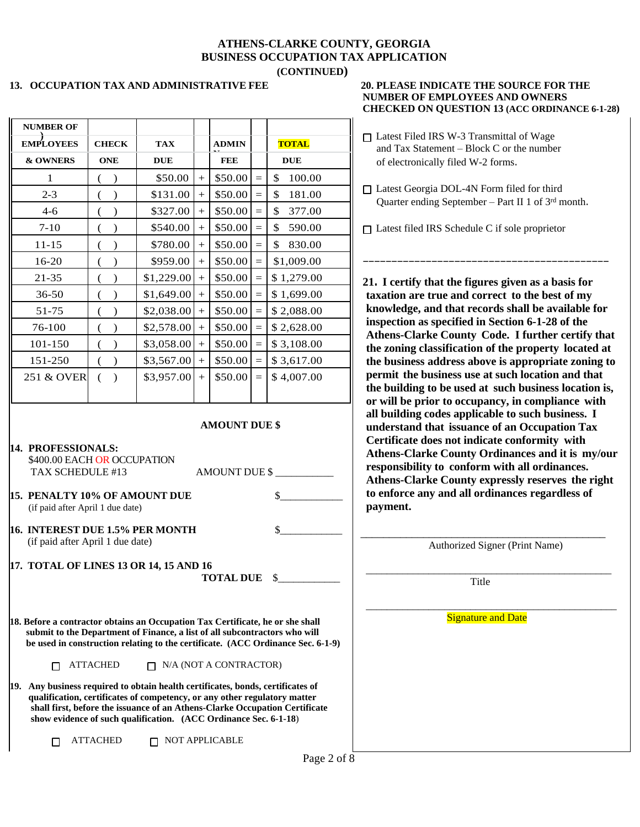#### **ATHENS-CLARKE COUNTY, GEORGIA BUSINESS OCCUPATION TAX APPLICATION (CONTINUED)**

#### **13. OCCUPATION TAX AND ADMINISTRATIVE FEE 20. PLEASE INDICATE THE SOURCE FOR THE**

|                                                                                                                                                                                                                                  |                 |                               |                     |                    |                                                                                 | CHECKED ON QUESTION 15 (ACC OKDINANCE 0-1-2                                                                                                                                                                           |
|----------------------------------------------------------------------------------------------------------------------------------------------------------------------------------------------------------------------------------|-----------------|-------------------------------|---------------------|--------------------|---------------------------------------------------------------------------------|-----------------------------------------------------------------------------------------------------------------------------------------------------------------------------------------------------------------------|
| <b>NUMBER OF</b>                                                                                                                                                                                                                 |                 |                               |                     |                    |                                                                                 |                                                                                                                                                                                                                       |
| <b>EMPLOYEES</b>                                                                                                                                                                                                                 | <b>CHECK</b>    | <b>TAX</b>                    | <b>ADMIN</b>        |                    | <b>TOTAL</b>                                                                    | □ Latest Filed IRS W-3 Transmittal of Wage<br>and Tax Statement - Block C or the number                                                                                                                               |
| & OWNERS                                                                                                                                                                                                                         | <b>ONE</b>      | <b>DUE</b>                    | <b>FEE</b>          |                    | <b>DUE</b>                                                                      | of electronically filed W-2 forms.                                                                                                                                                                                    |
| 1                                                                                                                                                                                                                                | $($ )           | \$50.00                       | \$50.00             | $\equiv$           | \$<br>100.00                                                                    |                                                                                                                                                                                                                       |
| $2 - 3$                                                                                                                                                                                                                          | $\big)$         | \$131.00                      | \$50.00             | $\equiv$           | \$<br>181.00                                                                    | □ Latest Georgia DOL-4N Form filed for third<br>Quarter ending September - Part II 1 of 3rd month.                                                                                                                    |
| $4 - 6$                                                                                                                                                                                                                          | $\big)$         | \$327.00                      | \$50.00             | $\equiv$           | $\frac{1}{2}$<br>377.00                                                         |                                                                                                                                                                                                                       |
| $7 - 10$                                                                                                                                                                                                                         | $($ )           | \$540.00                      | \$50.00             | $=$                | $\mathbb{S}$<br>590.00                                                          | $\Box$ Latest filed IRS Schedule C if sole proprietor                                                                                                                                                                 |
| $11 - 15$                                                                                                                                                                                                                        | $\rightarrow$   | \$780.00                      | \$50.00             | $\equiv$           | $\mathcal{L}$<br>830.00                                                         |                                                                                                                                                                                                                       |
| 16-20                                                                                                                                                                                                                            | $\rightarrow$   | \$959.00                      | \$50.00             | $=$                | \$1,009.00                                                                      |                                                                                                                                                                                                                       |
| $21 - 35$                                                                                                                                                                                                                        |                 | \$1,229.00                    | \$50.00]            | $=$                | \$1,279.00                                                                      | 21. I certify that the figures given as a basis for                                                                                                                                                                   |
| 36-50                                                                                                                                                                                                                            | $\big)$         | \$1,649.00                    | \$50.00             | $=$                | \$1,699.00                                                                      | taxation are true and correct to the best of my                                                                                                                                                                       |
| 51-75                                                                                                                                                                                                                            | $($ )           | \$2,038.00                    | \$50.00             |                    | \$2,088.00                                                                      | knowledge, and that records shall be available for                                                                                                                                                                    |
| 76-100                                                                                                                                                                                                                           | $\rightarrow$   | \$2,578.00                    | \$50.00             | $\, = \,$          | \$2,628.00                                                                      | inspection as specified in Section 6-1-28 of the<br>Athens-Clarke County Code. I further certify tha                                                                                                                  |
| 101-150                                                                                                                                                                                                                          | $\rightarrow$   | \$3,058.00                    | \$50.00             | $=$ $\overline{ }$ | \$3,108.00                                                                      | the zoning classification of the property located at                                                                                                                                                                  |
| 151-250                                                                                                                                                                                                                          | $($ )           | \$3,567.00                    | \$50.00             | $=$                | \$3,617.00                                                                      | the business address above is appropriate zoning to                                                                                                                                                                   |
| 251 & OVER                                                                                                                                                                                                                       | ( )             | $$3,957.00$ +                 | \$50.00             | $=$                | \$4,007.00                                                                      | permit the business use at such location and that<br>the building to be used at such business location is<br>or will be prior to occupancy, in compliance with                                                        |
| 14. PROFESSIONALS:<br>\$400.00 EACH OR OCCUPATION<br>TAX SCHEDULE #13<br>15. PENALTY 10% OF AMOUNT DUE<br>(if paid after April 1 due date)                                                                                       |                 |                               | AMOUNT DUE \$       |                    |                                                                                 | Athens-Clarke County Ordinances and it is my/ou<br>responsibility to conform with all ordinances.<br>Athens-Clarke County expressly reserves the right<br>to enforce any and all ordinances regardless of<br>payment. |
| 16. INTEREST DUE 1.5% PER MONTH<br>(if paid after April 1 due date)                                                                                                                                                              |                 |                               |                     |                    |                                                                                 | Authorized Signer (Print Name)                                                                                                                                                                                        |
| 17. TOTAL OF LINES 13 OR 14, 15 AND 16                                                                                                                                                                                           |                 |                               | <b>TOTAL DUE</b> \$ |                    |                                                                                 | Title                                                                                                                                                                                                                 |
| 18. Before a contractor obtains an Occupation Tax Certificate, he or she shall<br>submit to the Department of Finance, a list of all subcontractors who will                                                                     |                 |                               |                     |                    | be used in construction relating to the certificate. (ACC Ordinance Sec. 6-1-9) | <b>Signature and Date</b>                                                                                                                                                                                             |
| □                                                                                                                                                                                                                                | <b>ATTACHED</b> | $\Box$ N/A (NOT A CONTRACTOR) |                     |                    |                                                                                 |                                                                                                                                                                                                                       |
| 19. Any business required to obtain health certificates, bonds, certificates of<br>qualification, certificates of competency, or any other regulatory matter<br>show evidence of such qualification. (ACC Ordinance Sec. 6-1-18) |                 |                               |                     |                    | shall first, before the issuance of an Athens-Clarke Occupation Certificate     |                                                                                                                                                                                                                       |
| П                                                                                                                                                                                                                                | <b>ATTACHED</b> | $\Box$ NOT APPLICABLE         |                     |                    |                                                                                 |                                                                                                                                                                                                                       |

# **NUMBER OF EMPLOYEES AND OWNERS CHECKED ON QUESTION 13 (ACC ORDINANCE 6-1-28)**

<sup>□</sup> Latest Filed IRS W-3 Transmittal of Wage and Tax Statement – Block C or the number of electronically filed W-2 forms.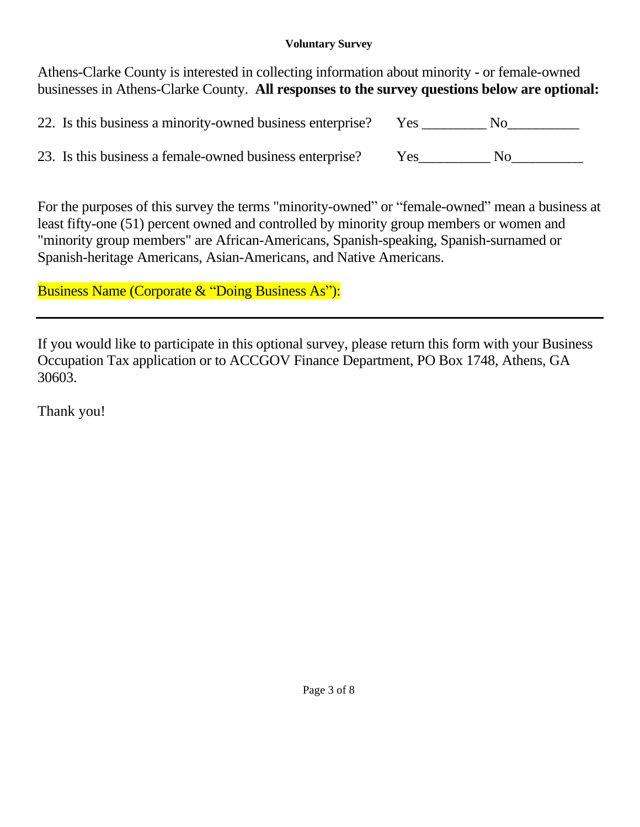## **Voluntary Survey**

Athens-Clarke County is interested in collecting information about minority - or female-owned businesses in Athens-Clarke County. **All responses to the survey questions below are optional:**

| 22. Is this business a minority-owned business enterprise? | Yes |  |
|------------------------------------------------------------|-----|--|
| 23. Is this business a female-owned business enterprise?   | Yes |  |

For the purposes of this survey the terms "minority-owned" or "female-owned" mean a business at least fifty-one (51) percent owned and controlled by minority group members or women and "minority group members" are African-Americans, Spanish-speaking, Spanish-surnamed or Spanish-heritage Americans, Asian-Americans, and Native Americans.

Business Name (Corporate & "Doing Business As"):

If you would like to participate in this optional survey, please return this form with your Business Occupation Tax application or to ACCGOV Finance Department, PO Box 1748, Athens, GA 30603.

Thank you!

Page 3 of 8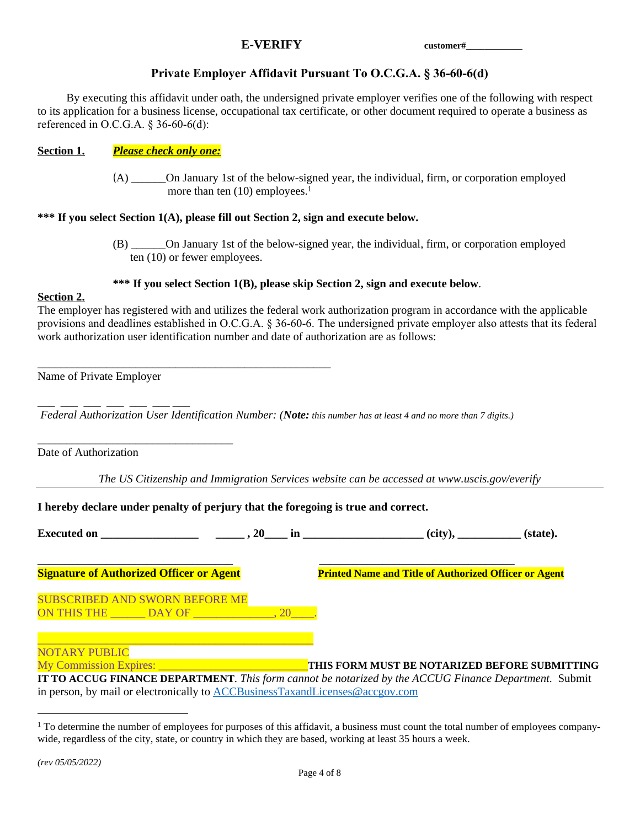## **E-VERIFY customer#\_\_\_\_\_\_\_\_\_\_\_\_**

### **Private Employer Affidavit Pursuant To O.C.G.A. § 36-60-6(d)**

By executing this affidavit under oath, the undersigned private employer verifies one of the following with respect to its application for a business license, occupational tax certificate, or other document required to operate a business as referenced in O.C.G.A. § 36-60-6(d):

#### **Section 1.** *Please check only one:*

(A) \_\_\_\_\_\_On January 1st of the below-signed year, the individual, firm, or corporation employed more than ten (10) employees.<sup>1</sup>

#### **\*\*\* If you select Section 1(A), please fill out Section 2, sign and execute below.**

(B) \_\_\_\_\_\_On January 1st of the below-signed year, the individual, firm, or corporation employed ten (10) or fewer employees.

#### **\*\*\* If you select Section 1(B), please skip Section 2, sign and execute below**.

#### **Section 2.**

The employer has registered with and utilizes the federal work authorization program in accordance with the applicable provisions and deadlines established in O.C.G.A. § 36-60-6. The undersigned private employer also attests that its federal work authorization user identification number and date of authorization are as follows:

\_\_\_\_\_\_\_\_\_\_\_\_\_\_\_\_\_\_\_\_\_\_\_\_\_\_\_\_\_\_\_\_\_\_\_\_\_\_\_\_\_\_\_\_\_\_\_\_\_\_\_ Name of Private Employer

 $\overline{\phantom{a}}$  , and the set of  $\overline{\phantom{a}}$  and  $\overline{\phantom{a}}$ 

\_\_\_\_\_\_\_\_\_\_\_\_\_\_\_\_\_\_\_\_\_\_\_\_\_\_\_\_\_\_\_\_\_\_

 *Federal Authorization User Identification Number: (Note: this number has at least 4 and no more than 7 digits.)*

Date of Authorization

*The US Citizenship and Immigration Services website can be accessed at www.uscis.gov/everify*

#### **I hereby declare under penalty of perjury that the foregoing is true and correct.**

| Executed on $\qquad \qquad \qquad - \qquad \qquad .20 \qquad \text{in}$ |  |                                                              | (state).                                      |
|-------------------------------------------------------------------------|--|--------------------------------------------------------------|-----------------------------------------------|
| <b>Signature of Authorized Officer or Agent</b>                         |  | <b>Printed Name and Title of Authorized Officer or Agent</b> |                                               |
| <b>SUBSCRIBED AND SWORN BEFORE ME</b>                                   |  |                                                              |                                               |
| <b>NOTARY PUBLIC</b><br>My Commission Expires:                          |  |                                                              | THIS FORM MUST BE NOTARIZED BEFORE SUBMITTING |

**IT TO ACCUG FINANCE DEPARTMENT**. *This form cannot be notarized by the ACCUG Finance Department.* Submit in person, by mail or electronically to [ACCBusinessTaxandLicenses@accgov.com](mailto:ACCBusinessTaxandLicenses@accgov.com)

<sup>&</sup>lt;sup>1</sup> To determine the number of employees for purposes of this affidavit, a business must count the total number of employees companywide, regardless of the city, state, or country in which they are based, working at least 35 hours a week.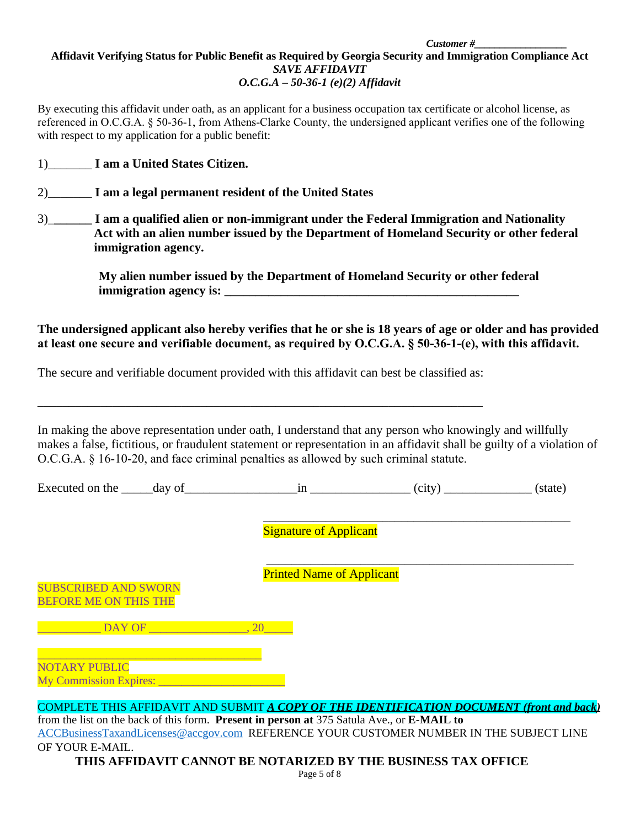#### *Customer #\_\_\_\_\_\_\_\_\_\_\_\_\_\_\_\_\_\_* **Affidavit Verifying Status for Public Benefit as Required by Georgia Security and Immigration Compliance Act** *SAVE AFFIDAVIT O.C.G.A – 50-36-1 (e)(2) Affidavit*

By executing this affidavit under oath, as an applicant for a business occupation tax certificate or alcohol license, as referenced in O.C.G.A. § 50-36-1, from Athens-Clarke County, the undersigned applicant verifies one of the following with respect to my application for a public benefit:

- 1)\_\_\_\_\_\_\_ **I am a United States Citizen.**
- 2)\_\_\_\_\_\_\_ **I am a legal permanent resident of the United States**
- 3)\_**\_\_\_\_\_\_ I am a qualified alien or non-immigrant under the Federal Immigration and Nationality Act with an alien number issued by the Department of Homeland Security or other federal immigration agency.**

 **My alien number issued by the Department of Homeland Security or other federal immigration agency is: \_\_\_\_\_\_\_\_\_\_\_\_\_\_\_\_\_\_\_\_\_\_\_\_\_\_\_\_\_\_\_\_\_\_\_\_\_\_\_\_\_\_\_\_\_\_\_**

**The undersigned applicant also hereby verifies that he or she is 18 years of age or older and has provided at least one secure and verifiable document, as required by O.C.G.A. § 50-36-1-(e), with this affidavit.**

The secure and verifiable document provided with this affidavit can best be classified as:

\_\_\_\_\_\_\_\_\_\_\_\_\_\_\_\_\_\_\_\_\_\_\_\_\_\_\_\_\_\_\_\_\_\_\_\_\_\_\_\_\_\_\_\_\_\_\_\_\_\_\_\_\_\_\_\_\_\_\_\_\_\_\_\_\_\_\_\_\_\_\_

In making the above representation under oath, I understand that any person who knowingly and willfully makes a false, fictitious, or fraudulent statement or representation in an affidavit shall be guilty of a violation of O.C.G.A. § 16-10-20, and face criminal penalties as allowed by such criminal statute.

Executed on the  $\_\_$  day of  $\_\_$  in  $\_\_$  (city)  $\_\_$  (state)

\_\_\_\_\_\_\_\_\_\_\_\_\_\_\_\_\_\_\_\_\_\_\_\_\_\_\_\_\_\_\_\_\_\_\_\_\_\_\_\_\_\_\_\_\_\_\_\_\_ Signature of Applicant

Printed Name of Applicant

\_\_\_\_\_\_\_\_\_\_\_\_\_\_\_\_\_\_\_\_\_\_\_\_\_\_\_\_\_\_\_\_\_\_\_\_\_\_\_\_\_\_\_\_\_\_\_\_\_

SUBSCRIBED AND SWORN BEFORE ME ON THIS THE

 $\Box$  DAY OF  $\Box$  20

\_\_\_\_\_\_\_\_\_\_\_\_\_\_\_\_\_\_\_\_\_\_\_\_\_\_\_\_\_\_\_\_\_\_\_\_\_\_\_ NOTARY PUBLIC My Commission Expires: \_\_\_\_\_\_\_\_\_\_\_\_\_\_\_\_\_\_\_\_\_\_

COMPLETE THIS AFFIDAVIT AND SUBMIT *A COPY OF THE IDENTIFICATION DOCUMENT (front and back)*

from the list on the back of this form. **Present in person at** 375 Satula Ave., or **E-MAIL to**  [ACCBusinessTaxandLicenses@accgov.com](mailto:ACCBusinessTaxandLicenses@accgov.com) REFERENCE YOUR CUSTOMER NUMBER IN THE SUBJECT LINE OF YOUR E-MAIL.

**THIS AFFIDAVIT CANNOT BE NOTARIZED BY THE BUSINESS TAX OFFICE**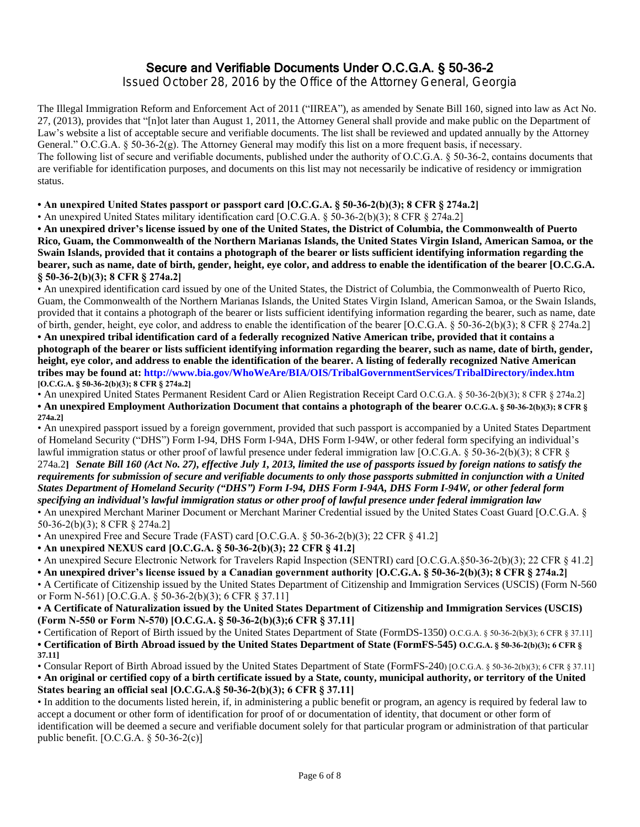## Secure and Verifiable Documents Under O.C.G.A. § 50-36-2

Issued October 28, 2016 by the Office of the Attorney General, Georgia

The Illegal Immigration Reform and Enforcement Act of 2011 ("IIREA"), as amended by Senate Bill 160, signed into law as Act No. 27, (2013), provides that "[n]ot later than August 1, 2011, the Attorney General shall provide and make public on the Department of Law's website a list of acceptable secure and verifiable documents. The list shall be reviewed and updated annually by the Attorney General." O.C.G.A. § 50-36-2(g). The Attorney General may modify this list on a more frequent basis, if necessary. The following list of secure and verifiable documents, published under the authority of O.C.G.A. § 50-36-2, contains documents that are verifiable for identification purposes, and documents on this list may not necessarily be indicative of residency or immigration

**• An unexpired United States passport or passport card [O.C.G.A. § 50-36-2(b)(3); 8 CFR § 274a.2]**

• An unexpired United States military identification card [O.C.G.A. § 50-36-2(b)(3); 8 CFR § 274a.2]

status.

**• An unexpired driver's license issued by one of the United States, the District of Columbia, the Commonwealth of Puerto Rico, Guam, the Commonwealth of the Northern Marianas Islands, the United States Virgin Island, American Samoa, or the Swain Islands, provided that it contains a photograph of the bearer or lists sufficient identifying information regarding the bearer, such as name, date of birth, gender, height, eye color, and address to enable the identification of the bearer [O.C.G.A. § 50-36-2(b)(3); 8 CFR § 274a.2]**

• An unexpired identification card issued by one of the United States, the District of Columbia, the Commonwealth of Puerto Rico, Guam, the Commonwealth of the Northern Marianas Islands, the United States Virgin Island, American Samoa, or the Swain Islands, provided that it contains a photograph of the bearer or lists sufficient identifying information regarding the bearer, such as name, date of birth, gender, height, eye color, and address to enable the identification of the bearer [O.C.G.A. § 50-36-2(b)(3); 8 CFR § 274a.2]

**• An unexpired tribal identification card of a federally recognized Native American tribe, provided that it contains a photograph of the bearer or lists sufficient identifying information regarding the bearer, such as name, date of birth, gender, height, eye color, and address to enable the identification of the bearer. A listing of federally recognized Native American tribes may be found at: http://www.bia.gov/WhoWeAre/BIA/OIS/TribalGovernmentServices/TribalDirectory/index.htm [O.C.G.A. § 50-36-2(b)(3); 8 CFR § 274a.2]**

• An unexpired United States Permanent Resident Card or Alien Registration Receipt Card O.C.G.A. § 50-36-2(b)(3); 8 CFR § 274a.2] **• An unexpired Employment Authorization Document that contains a photograph of the bearer O.C.G.A. § 50-36-2(b)(3); 8 CFR § 274a.2]**

• An unexpired passport issued by a foreign government, provided that such passport is accompanied by a United States Department of Homeland Security ("DHS") Form I-94, DHS Form I-94A, DHS Form I-94W, or other federal form specifying an individual's lawful immigration status or other proof of lawful presence under federal immigration law [O.C.G.A. § 50-36-2(b)(3); 8 CFR § 274a.2**]** *Senate Bill 160 (Act No. 27), effective July 1, 2013, limited the use of passports issued by foreign nations to satisfy the requirements for submission of secure and verifiable documents to only those passports submitted in conjunction with a United States Department of Homeland Security ("DHS") Form I-94, DHS Form I-94A, DHS Form I-94W, or other federal form specifying an individual's lawful immigration status or other proof of lawful presence under federal immigration law* • An unexpired Merchant Mariner Document or Merchant Mariner Credential issued by the United States Coast Guard [O.C.G.A. §

50-36-2(b)(3); 8 CFR § 274a.2] • An unexpired Free and Secure Trade (FAST) card [O.C.G.A. § 50-36-2(b)(3); 22 CFR § 41.2]

**• An unexpired NEXUS card [O.C.G.A. § 50-36-2(b)(3); 22 CFR § 41.2]**

• An unexpired Secure Electronic Network for Travelers Rapid Inspection (SENTRI) card [O.C.G.A.§50-36-2(b)(3); 22 CFR § 41.2]

**• An unexpired driver's license issued by a Canadian government authority [O.C.G.A. § 50-36-2(b)(3); 8 CFR § 274a.2]**

• A Certificate of Citizenship issued by the United States Department of Citizenship and Immigration Services (USCIS) (Form N-560 or Form N-561) [O.C.G.A. § 50-36-2(b)(3); 6 CFR § 37.11]

**• A Certificate of Naturalization issued by the United States Department of Citizenship and Immigration Services (USCIS) (Form N-550 or Form N-570) [O.C.G.A. § 50-36-2(b)(3);6 CFR § 37.11]**

• Certification of Report of Birth issued by the United States Department of State (FormDS-1350) O.C.G.A. § 50-36-2(b)(3); 6 CFR § 37.11] **• Certification of Birth Abroad issued by the United States Department of State (FormFS-545) O.C.G.A. § 50-36-2(b)(3); 6 CFR § 37.11]** 

• Consular Report of Birth Abroad issued by the United States Department of State (FormFS-240) [O.C.G.A. § 50-36-2(b)(3); 6 CFR § 37.11] **• An original or certified copy of a birth certificate issued by a State, county, municipal authority, or territory of the United States bearing an official seal [O.C.G.A.§ 50-36-2(b)(3); 6 CFR § 37.11]**

• In addition to the documents listed herein, if, in administering a public benefit or program, an agency is required by federal law to accept a document or other form of identification for proof of or documentation of identity, that document or other form of identification will be deemed a secure and verifiable document solely for that particular program or administration of that particular public benefit. [O.C.G.A. § 50-36-2(c)]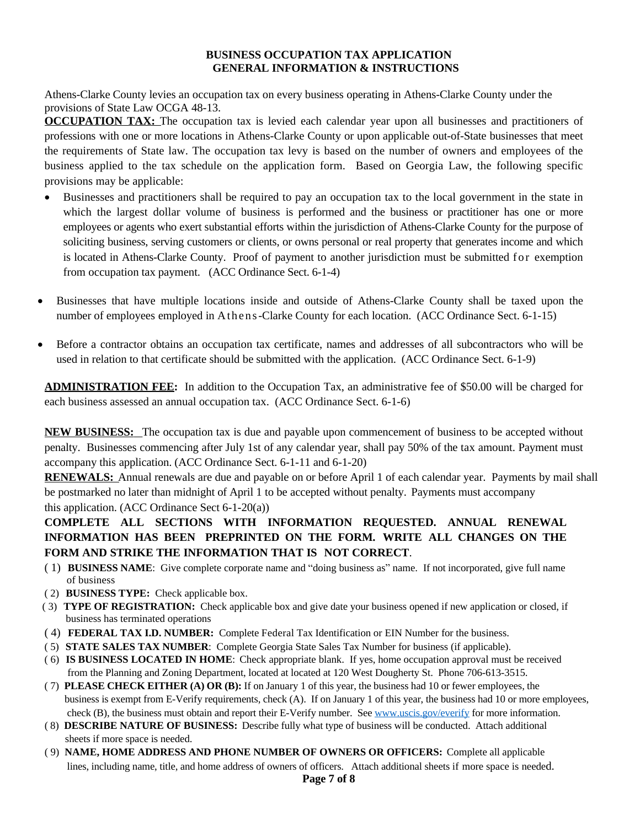#### **BUSINESS OCCUPATION TAX APPLICATION GENERAL INFORMATION & INSTRUCTIONS**

Athens-Clarke County levies an occupation tax on every business operating in Athens-Clarke County under the provisions of State Law OCGA 48-13.

**OCCUPATION TAX:** The occupation tax is levied each calendar year upon all businesses and practitioners of professions with one or more locations in Athens-Clarke County or upon applicable out-of-State businesses that meet the requirements of State law. The occupation tax levy is based on the number of owners and employees of the business applied to the tax schedule on the application form. Based on Georgia Law, the following specific provisions may be applicable:

- Businesses and practitioners shall be required to pay an occupation tax to the local government in the state in which the largest dollar volume of business is performed and the business or practitioner has one or more employees or agents who exert substantial efforts within the jurisdiction of Athens-Clarke County for the purpose of soliciting business, serving customers or clients, or owns personal or real property that generates income and which is located in Athens-Clarke County. Proof of payment to another jurisdiction must be submitted for exemption from occupation tax payment. (ACC Ordinance Sect. 6-1-4)
- Businesses that have multiple locations inside and outside of Athens-Clarke County shall be taxed upon the number of employees employed in Athens-Clarke County for each location. (ACC Ordinance Sect. 6-1-15)
- Before a contractor obtains an occupation tax certificate, names and addresses of all subcontractors who will be used in relation to that certificate should be submitted with the application. (ACC Ordinance Sect. 6-1-9)

**ADMINISTRATION FEE:** In addition to the Occupation Tax, an administrative fee of \$50.00 will be charged for each business assessed an annual occupation tax. (ACC Ordinance Sect. 6-1-6)

**NEW BUSINESS:** The occupation tax is due and payable upon commencement of business to be accepted without penalty. Businesses commencing after July 1st of any calendar year, shall pay 50% of the tax amount. Payment must accompany this application. (ACC Ordinance Sect. 6-1-11 and 6-1-20)

**RENEWALS:** Annual renewals are due and payable on or before April 1 of each calendar year. Payments by mail shall be postmarked no later than midnight of April 1 to be accepted without penalty. Payments must accompany this application. (ACC Ordinance Sect 6-1-20(a))

## **COMPLETE ALL SECTIONS WITH INFORMATION REQUESTED. ANNUAL RENEWAL INFORMATION HAS BEEN PREPRINTED ON THE FORM. WRITE ALL CHANGES ON THE FORM AND STRIKE THE INFORMATION THAT IS NOT CORRECT**.

- ( 1) **BUSINESS NAME**: Give complete corporate name and "doing business as" name. If not incorporated, give full name of business
- ( 2) **BUSINESS TYPE:** Check applicable box.
- ( 3) **TYPE OF REGISTRATION:** Check applicable box and give date your business opened if new application or closed, if business has terminated operations
- ( 4) **FEDERAL TAX I.D. NUMBER:** Complete Federal Tax Identification or EIN Number for the business.
- ( 5) **STATE SALES TAX NUMBER**: Complete Georgia State Sales Tax Number for business (if applicable).
- ( 6) **IS BUSINESS LOCATED IN HOME**: Check appropriate blank. If yes, home occupation approval must be received from the Planning and Zoning Department, located at located at 120 West Dougherty St. Phone 706-613-3515.
- ( 7) **PLEASE CHECK EITHER (A) OR (B):** If on January 1 of this year, the business had 10 or fewer employees, the business is exempt from E-Verify requirements, check (A). If on January 1 of this year, the business had 10 or more employees, check (B), the business must obtain and report their E-Verify number. See [www.uscis.gov/everify](http://www.uscis.gov/everify) for more information.
- ( 8) **DESCRIBE NATURE OF BUSINESS:** Describe fully what type of business will be conducted. Attach additional sheets if more space is needed.
- ( 9) **NAME, HOME ADDRESS AND PHONE NUMBER OF OWNERS OR OFFICERS:** Complete all applicable lines, including name, title, and home address of owners of officers. Attach additional sheets if more space is needed.